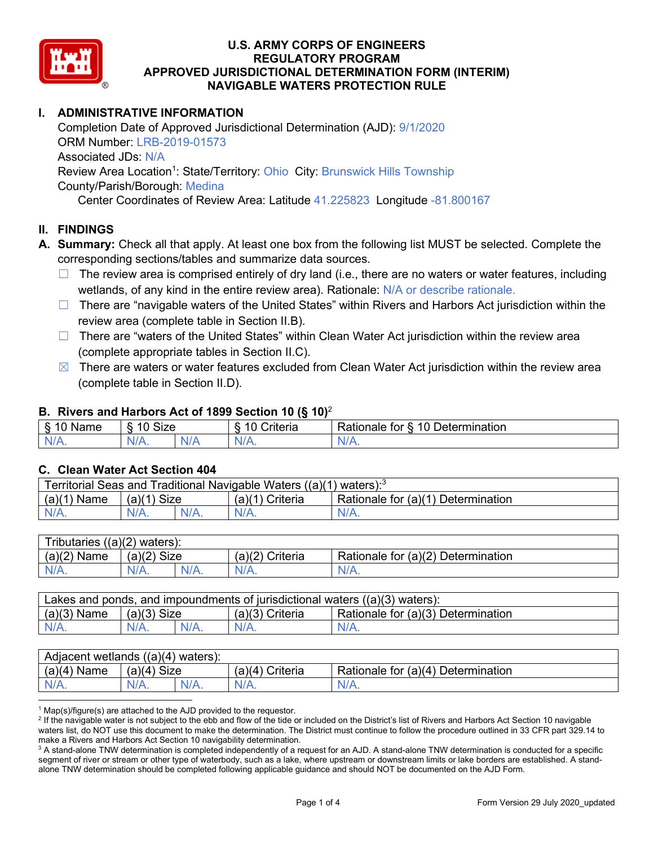

# **I. ADMINISTRATIVE INFORMATION**

Completion Date of Approved Jurisdictional Determination (AJD): 9/1/2020 ORM Number: LRB-2019-01573 Associated JDs: N/A Review Area Location<sup>1</sup>: State/Territory: Ohio City: Brunswick Hills Township County/Parish/Borough: Medina Center Coordinates of Review Area: Latitude 41.225823 Longitude -81.800167

### **II. FINDINGS**

- **A. Summary:** Check all that apply. At least one box from the following list MUST be selected. Complete the corresponding sections/tables and summarize data sources.
	- $\Box$  The review area is comprised entirely of dry land (i.e., there are no waters or water features, including wetlands, of any kind in the entire review area). Rationale: N/A or describe rationale.
	- □ There are "navigable waters of the United States" within Rivers and Harbors Act jurisdiction within the review area (complete table in Section II.B).
	- $\Box$  There are "waters of the United States" within Clean Water Act jurisdiction within the review area (complete appropriate tables in Section II.C).
	- $\boxtimes$  There are waters or water features excluded from Clean Water Act jurisdiction within the review area (complete table in Section II.D).

#### **B. Rivers and Harbors Act of 1899 Section 10 (§ 10)**<sup>2</sup>

| Name | $\sim$<br>$\overline{a}$<br>SIZE<br>` |   | - -<br><b>Criteria</b> | 10<br>$\overline{\phantom{a}}$<br>-<br>$D$ etermination<br>tor<br>⊀atıonale |
|------|---------------------------------------|---|------------------------|-----------------------------------------------------------------------------|
| AM 7 | N/4                                   | w | $N$ /                  | N                                                                           |
| .    | 11 L V                                |   | . .                    | <b>***</b> **                                                               |

#### **C. Clean Water Act Section 404**

| Traditional Navigable Waters ((a)(1) waters): <sup>3</sup><br>Territorial Seas and |                       |         |                    |                                             |  |  |  |
|------------------------------------------------------------------------------------|-----------------------|---------|--------------------|---------------------------------------------|--|--|--|
| (a)(1)<br>Name                                                                     | <b>Size</b><br>(a)(1) |         | Criteria<br>(a)(1) | Rationale for $(a)(1)$ D<br>Ⅰ Determination |  |  |  |
| $N/A$ .                                                                            | $N/A$ .               | $N/A$ . |                    | $N/A$ .                                     |  |  |  |

| $((a)(2)$ waters):<br>Tributaries |                |  |                    |                                    |  |  |  |
|-----------------------------------|----------------|--|--------------------|------------------------------------|--|--|--|
| (a)(2)<br>Name                    | Size<br>(a)(2) |  | (a)(2)<br>Criteria | Rationale for (a)(2) Determination |  |  |  |
| $N/A$ .                           | $N/A$ .<br>N/A |  | $N/A$ .            | N/A.                               |  |  |  |

| Lakes and ponds, and impoundments of jurisdictional waters $((a)(3)$ waters): |               |  |                 |                                    |  |  |
|-------------------------------------------------------------------------------|---------------|--|-----------------|------------------------------------|--|--|
| $(a)(3)$ Name                                                                 | $(a)(3)$ Size |  | (a)(3) Criteria | Rationale for (a)(3) Determination |  |  |
|                                                                               | $N/A$ .       |  | $N/A$ .         | $N/A$ .                            |  |  |

| Adjacent wetlands $((a)(4))$<br>waters): |                                  |  |                    |                                         |  |  |  |
|------------------------------------------|----------------------------------|--|--------------------|-----------------------------------------|--|--|--|
| (a)(4)<br>Name                           | <b>Size</b><br>$(a)$ $(A)$<br>an |  | Criteria<br>(a)(4) | $(a)(4)$ Determination<br>Rationale for |  |  |  |
| N/A.                                     | N/A.<br>/Δ<br>N/A.               |  | $N/A$ .            | N/A.                                    |  |  |  |

 $1$  Map(s)/figure(s) are attached to the AJD provided to the requestor.

<sup>2</sup> If the navigable water is not subject to the ebb and flow of the tide or included on the District's list of Rivers and Harbors Act Section 10 navigable waters list, do NOT use this document to make the determination. The District must continue to follow the procedure outlined in 33 CFR part 329.14 to make a Rivers and Harbors Act Section 10 navigability determination.

 $3$  A stand-alone TNW determination is completed independently of a request for an AJD. A stand-alone TNW determination is conducted for a specific segment of river or stream or other type of waterbody, such as a lake, where upstream or downstream limits or lake borders are established. A standalone TNW determination should be completed following applicable guidance and should NOT be documented on the AJD Form.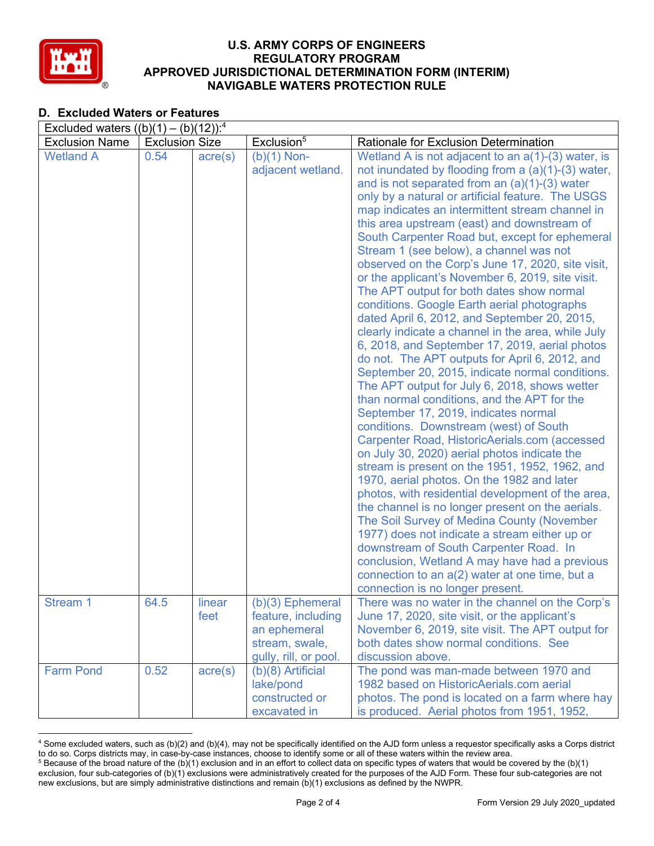

# **D. Excluded Waters or Features**

| Excluded waters $((b)(1) - (b)(12))$ : <sup>4</sup> |                       |                  |                                                                                                     |                                                                                                                                                                                                                                                                                                                                                                                                                                                                                                                                                                                                                                                                                                                                                                                                                                                                                                                                                                                                                                                                                                                                                                                                                                                                                                                                                                                                                                                                                                                                                                                                                               |  |  |  |
|-----------------------------------------------------|-----------------------|------------------|-----------------------------------------------------------------------------------------------------|-------------------------------------------------------------------------------------------------------------------------------------------------------------------------------------------------------------------------------------------------------------------------------------------------------------------------------------------------------------------------------------------------------------------------------------------------------------------------------------------------------------------------------------------------------------------------------------------------------------------------------------------------------------------------------------------------------------------------------------------------------------------------------------------------------------------------------------------------------------------------------------------------------------------------------------------------------------------------------------------------------------------------------------------------------------------------------------------------------------------------------------------------------------------------------------------------------------------------------------------------------------------------------------------------------------------------------------------------------------------------------------------------------------------------------------------------------------------------------------------------------------------------------------------------------------------------------------------------------------------------------|--|--|--|
| <b>Exclusion Name</b>                               | <b>Exclusion Size</b> |                  | Exclusion <sup>5</sup>                                                                              | Rationale for Exclusion Determination                                                                                                                                                                                                                                                                                                                                                                                                                                                                                                                                                                                                                                                                                                                                                                                                                                                                                                                                                                                                                                                                                                                                                                                                                                                                                                                                                                                                                                                                                                                                                                                         |  |  |  |
| <b>Wetland A</b>                                    | 0.54                  | $\text{acre}(s)$ | $(b)(1)$ Non-<br>adjacent wetland.                                                                  | Wetland A is not adjacent to an $a(1)-(3)$ water, is<br>not inundated by flooding from a $(a)(1)-(3)$ water,<br>and is not separated from an $(a)(1)-(3)$ water<br>only by a natural or artificial feature. The USGS<br>map indicates an intermittent stream channel in<br>this area upstream (east) and downstream of<br>South Carpenter Road but, except for ephemeral<br>Stream 1 (see below), a channel was not<br>observed on the Corp's June 17, 2020, site visit,<br>or the applicant's November 6, 2019, site visit.<br>The APT output for both dates show normal<br>conditions. Google Earth aerial photographs<br>dated April 6, 2012, and September 20, 2015,<br>clearly indicate a channel in the area, while July<br>6, 2018, and September 17, 2019, aerial photos<br>do not. The APT outputs for April 6, 2012, and<br>September 20, 2015, indicate normal conditions.<br>The APT output for July 6, 2018, shows wetter<br>than normal conditions, and the APT for the<br>September 17, 2019, indicates normal<br>conditions. Downstream (west) of South<br>Carpenter Road, HistoricAerials.com (accessed<br>on July 30, 2020) aerial photos indicate the<br>stream is present on the 1951, 1952, 1962, and<br>1970, aerial photos. On the 1982 and later<br>photos, with residential development of the area,<br>the channel is no longer present on the aerials.<br>The Soil Survey of Medina County (November<br>1977) does not indicate a stream either up or<br>downstream of South Carpenter Road. In<br>conclusion, Wetland A may have had a previous<br>connection to an a(2) water at one time, but a |  |  |  |
|                                                     |                       |                  |                                                                                                     | connection is no longer present.                                                                                                                                                                                                                                                                                                                                                                                                                                                                                                                                                                                                                                                                                                                                                                                                                                                                                                                                                                                                                                                                                                                                                                                                                                                                                                                                                                                                                                                                                                                                                                                              |  |  |  |
| Stream 1                                            | 64.5                  | linear<br>feet   | $(b)(3)$ Ephemeral<br>feature, including<br>an ephemeral<br>stream, swale,<br>gully, rill, or pool. | There was no water in the channel on the Corp's<br>June 17, 2020, site visit, or the applicant's<br>November 6, 2019, site visit. The APT output for<br>both dates show normal conditions. See<br>discussion above.                                                                                                                                                                                                                                                                                                                                                                                                                                                                                                                                                                                                                                                                                                                                                                                                                                                                                                                                                                                                                                                                                                                                                                                                                                                                                                                                                                                                           |  |  |  |
| <b>Farm Pond</b>                                    | 0.52                  | $\text{acre}(s)$ | $(b)(8)$ Artificial<br>lake/pond<br>constructed or<br>excavated in                                  | The pond was man-made between 1970 and<br>1982 based on HistoricAerials.com aerial<br>photos. The pond is located on a farm where hay<br>is produced. Aerial photos from 1951, 1952,                                                                                                                                                                                                                                                                                                                                                                                                                                                                                                                                                                                                                                                                                                                                                                                                                                                                                                                                                                                                                                                                                                                                                                                                                                                                                                                                                                                                                                          |  |  |  |

<sup>4</sup> Some excluded waters, such as (b)(2) and (b)(4), may not be specifically identified on the AJD form unless a requestor specifically asks a Corps district to do so. Corps districts may, in case-by-case instances, choose to identify some or all of these waters within the review area.  $5$  Because of the broad nature of the (b)(1) exclusion and in an effort to collect data on specific types of waters that would be covered by the (b)(1)

exclusion, four sub-categories of (b)(1) exclusions were administratively created for the purposes of the AJD Form. These four sub-categories are not new exclusions, but are simply administrative distinctions and remain (b)(1) exclusions as defined by the NWPR.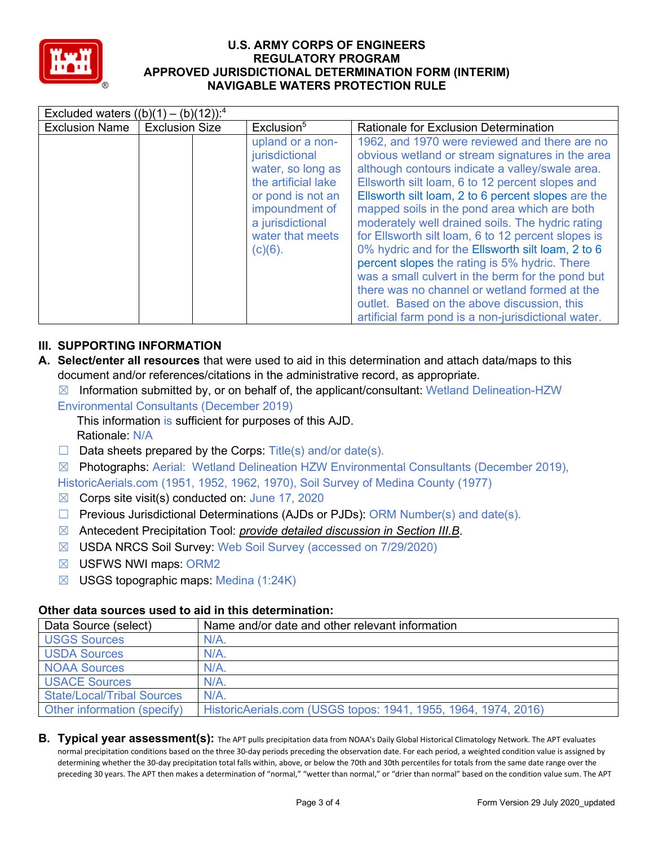

| Excluded waters $((b)(1) - (b)(12))$ : <sup>4</sup> |                       |                                                                                                                                                                             |                                                                                                                                                                                                                                                                                                                                                                                                                                                                                                                                                                                                                                                                                                                                          |  |  |  |  |
|-----------------------------------------------------|-----------------------|-----------------------------------------------------------------------------------------------------------------------------------------------------------------------------|------------------------------------------------------------------------------------------------------------------------------------------------------------------------------------------------------------------------------------------------------------------------------------------------------------------------------------------------------------------------------------------------------------------------------------------------------------------------------------------------------------------------------------------------------------------------------------------------------------------------------------------------------------------------------------------------------------------------------------------|--|--|--|--|
| <b>Exclusion Name</b>                               | <b>Exclusion Size</b> | Exclusion <sup>5</sup>                                                                                                                                                      | <b>Rationale for Exclusion Determination</b>                                                                                                                                                                                                                                                                                                                                                                                                                                                                                                                                                                                                                                                                                             |  |  |  |  |
|                                                     |                       | upland or a non-<br>jurisdictional<br>water, so long as<br>the artificial lake<br>or pond is not an<br>impoundment of<br>a jurisdictional<br>water that meets<br>$(c)(6)$ . | 1962, and 1970 were reviewed and there are no<br>obvious wetland or stream signatures in the area<br>although contours indicate a valley/swale area.<br>Ellsworth silt loam, 6 to 12 percent slopes and<br>Ellsworth silt loam, 2 to 6 percent slopes are the<br>mapped soils in the pond area which are both<br>moderately well drained soils. The hydric rating<br>for Ellsworth silt loam, 6 to 12 percent slopes is<br>0% hydric and for the Ellsworth silt loam, 2 to 6<br>percent slopes the rating is 5% hydric. There<br>was a small culvert in the berm for the pond but<br>there was no channel or wetland formed at the<br>outlet. Based on the above discussion, this<br>artificial farm pond is a non-jurisdictional water. |  |  |  |  |

## **III. SUPPORTING INFORMATION**

- **A. Select/enter all resources** that were used to aid in this determination and attach data/maps to this document and/or references/citations in the administrative record, as appropriate.
	- $\boxtimes$  Information submitted by, or on behalf of, the applicant/consultant: Wetland Delineation-HZW
	- Environmental Consultants (December 2019)
		- This information is sufficient for purposes of this AJD. Rationale: N/A
	- $\Box$  Data sheets prepared by the Corps: Title(s) and/or date(s).
	- $\boxtimes$  Photographs: Aerial: Wetland Delineation HZW Environmental Consultants (December 2019),

HistoricAerials.com (1951, 1952, 1962, 1970), Soil Survey of Medina County (1977)

- $\boxtimes$  Corps site visit(s) conducted on: June 17, 2020
- $\Box$  Previous Jurisdictional Determinations (AJDs or PJDs): ORM Number(s) and date(s).
- ☒ Antecedent Precipitation Tool: *provide detailed discussion in Section III.B*.
- ☒ USDA NRCS Soil Survey: Web Soil Survey (accessed on 7/29/2020)
- ☒ USFWS NWI maps: ORM2
- $\boxtimes$  USGS topographic maps: Medina (1:24K)

## **Other data sources used to aid in this determination:**

| Data Source (select)              | Name and/or date and other relevant information                |
|-----------------------------------|----------------------------------------------------------------|
| <b>USGS Sources</b>               | $N/A$ .                                                        |
| <b>USDA Sources</b>               | $N/A$ .                                                        |
| <b>NOAA Sources</b>               | $N/A$ .                                                        |
| <b>USACE Sources</b>              | $N/A$ .                                                        |
| <b>State/Local/Tribal Sources</b> | $N/A$ .                                                        |
| Other information (specify)       | HistoricAerials.com (USGS topos: 1941, 1955, 1964, 1974, 2016) |

**B. Typical year assessment(s):** The APT pulls precipitation data from NOAA's Daily Global Historical Climatology Network. The APT evaluates normal precipitation conditions based on the three 30-day periods preceding the observation date. For each period, a weighted condition value is assigned by determining whether the 30-day precipitation total falls within, above, or below the 70th and 30th percentiles for totals from the same date range over the preceding 30 years. The APT then makes a determination of "normal," "wetter than normal," or "drier than normal" based on the condition value sum. The APT